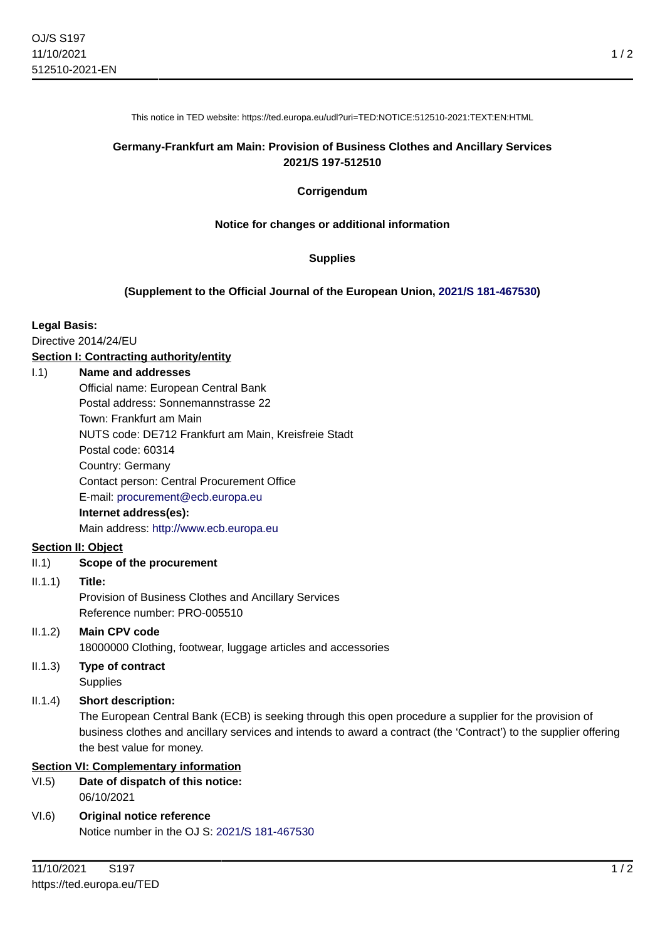This notice in TED website: https://ted.europa.eu/udl?uri=TED:NOTICE:512510-2021:TEXT:EN:HTML

## **Germany-Frankfurt am Main: Provision of Business Clothes and Ancillary Services 2021/S 197-512510**

#### **Corrigendum**

#### **Notice for changes or additional information**

#### **Supplies**

#### **(Supplement to the Official Journal of the European Union, [2021/S 181-467530\)](https://ted.europa.eu/udl?uri=TED:NOTICE:467530-2021:TEXT:EN:HTML)**

#### **Legal Basis:**

Directive 2014/24/EU

### **Section I: Contracting authority/entity**

## I.1) **Name and addresses**

| Official name: European Central Bank                 |
|------------------------------------------------------|
| Postal address: Sonnemannstrasse 22                  |
| Town: Frankfurt am Main                              |
| NUTS code: DE712 Frankfurt am Main, Kreisfreie Stadt |
| Postal code: 60314                                   |
| Country: Germany                                     |
| Contact person: Central Procurement Office           |
| E-mail: procurement@ecb.europa.eu                    |
| Internet address(es):                                |
| Main address: http://www.ecb.europa.eu               |

### **Section II: Object**

### II.1) **Scope of the procurement**

### II.1.1) **Title:**

Provision of Business Clothes and Ancillary Services Reference number: PRO-005510

## II.1.2) **Main CPV code**

18000000 Clothing, footwear, luggage articles and accessories

II.1.3) **Type of contract Supplies** 

## II.1.4) **Short description:**

The European Central Bank (ECB) is seeking through this open procedure a supplier for the provision of business clothes and ancillary services and intends to award a contract (the 'Contract') to the supplier offering the best value for money.

## **Section VI: Complementary information**

#### VI.5) **Date of dispatch of this notice:** 06/10/2021

VI.6) **Original notice reference** Notice number in the OJ S: [2021/S 181-467530](https://ted.europa.eu/udl?uri=TED:NOTICE:467530-2021:TEXT:EN:HTML)